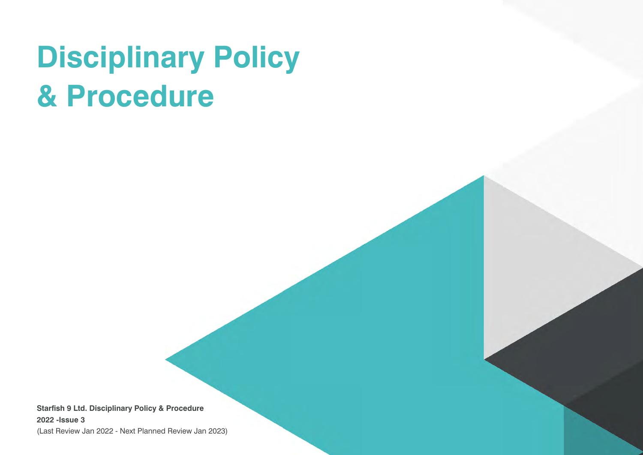# **Disciplinary Policy & Procedure**

**Starfish 9 Ltd. Disciplinary Policy & Procedure 2022 -Issue 3** (Last Review Jan 2022 - Next Planned Review Jan 2023)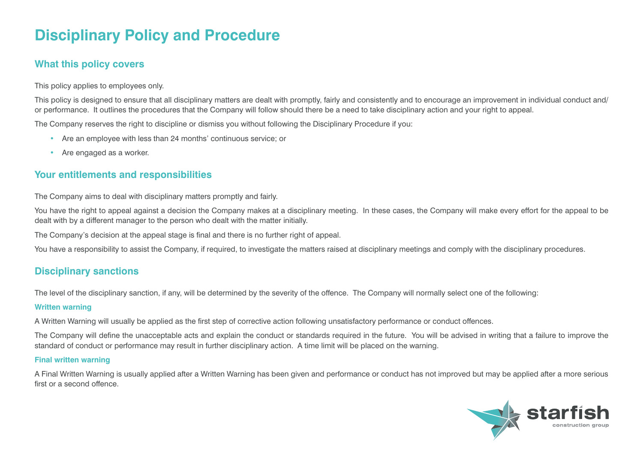# **Disciplinary Policy and Procedure**

## **What this policy covers**

This policy applies to employees only.

This policy is designed to ensure that all disciplinary matters are dealt with promptly, fairly and consistently and to encourage an improvement in individual conduct and/ or performance. It outlines the procedures that the Company will follow should there be a need to take disciplinary action and your right to appeal.

The Company reserves the right to discipline or dismiss you without following the Disciplinary Procedure if you:

- Are an employee with less than 24 months' continuous service; or
- Are engaged as a worker.

# **Your entitlements and responsibilities**

The Company aims to deal with disciplinary matters promptly and fairly.

You have the right to appeal against a decision the Company makes at a disciplinary meeting. In these cases, the Company will make every effort for the appeal to be dealt with by a different manager to the person who dealt with the matter initially.

The Company's decision at the appeal stage is final and there is no further right of appeal.

You have a responsibility to assist the Company, if required, to investigate the matters raised at disciplinary meetings and comply with the disciplinary procedures.

# **Disciplinary sanctions**

The level of the disciplinary sanction, if any, will be determined by the severity of the offence. The Company will normally select one of the following:

#### **Written warning**

A Written Warning will usually be applied as the first step of corrective action following unsatisfactory performance or conduct offences.

The Company will define the unacceptable acts and explain the conduct or standards required in the future. You will be advised in writing that a failure to improve the standard of conduct or performance may result in further disciplinary action. A time limit will be placed on the warning.

#### **Final written warning**

A Final Written Warning is usually applied after a Written Warning has been given and performance or conduct has not improved but may be applied after a more serious first or a second offence.

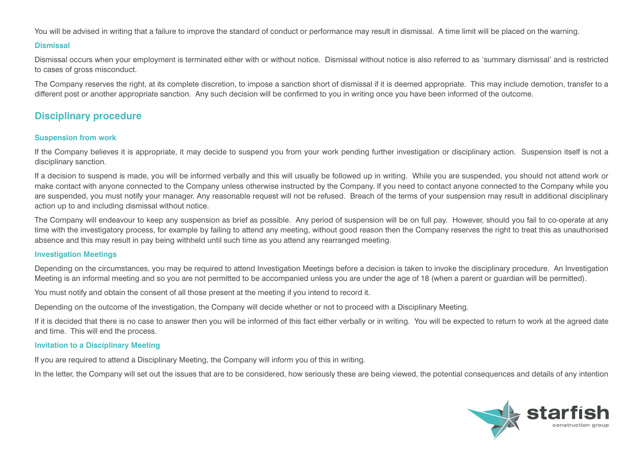You will be advised in writing that a failure to improve the standard of conduct or performance may result in dismissal. A time limit will be placed on the warning.

#### **Dismissal**

Dismissal occurs when your employment is terminated either with or without notice. Dismissal without notice is also referred to as 'summary dismissal' and is restricted to cases of gross misconduct.

The Company reserves the right, at its complete discretion, to impose a sanction short of dismissal if it is deemed appropriate. This may include demotion, transfer to a different post or another appropriate sanction. Any such decision will be confirmed to you in writing once you have been informed of the outcome.

### **Disciplinary procedure**

#### **Suspension from work**

If the Company believes it is appropriate, it may decide to suspend you from your work pending further investigation or disciplinary action. Suspension itself is not a disciplinary sanction.

If a decision to suspend is made, you will be informed verbally and this will usually be followed up in writing. While you are suspended, you should not attend work or make contact with anyone connected to the Company unless otherwise instructed by the Company. If you need to contact anyone connected to the Company while you are suspended, you must notify your manager. Any reasonable request will not be refused. Breach of the terms of your suspension may result in additional disciplinary action up to and including dismissal without notice.

The Company will endeavour to keep any suspension as brief as possible. Any period of suspension will be on full pay. However, should you fail to co-operate at any time with the investigatory process, for example by failing to attend any meeting, without good reason then the Company reserves the right to treat this as unauthorised absence and this may result in pay being withheld until such time as you attend any rearranged meeting.

#### **Investigation Meetings**

Depending on the circumstances, you may be required to attend Investigation Meetings before a decision is taken to invoke the disciplinary procedure. An Investigation Meeting is an informal meeting and so you are not permitted to be accompanied unless you are under the age of 18 (when a parent or guardian will be permitted).

You must notify and obtain the consent of all those present at the meeting if you intend to record it.

Depending on the outcome of the investigation, the Company will decide whether or not to proceed with a Disciplinary Meeting.

If it is decided that there is no case to answer then you will be informed of this fact either verbally or in writing. You will be expected to return to work at the agreed date and time. This will end the process.

#### **Invitation to a Disciplinary Meeting**

If you are required to attend a Disciplinary Meeting, the Company will inform you of this in writing.

In the letter, the Company will set out the issues that are to be considered, how seriously these are being viewed, the potential consequences and details of any intention

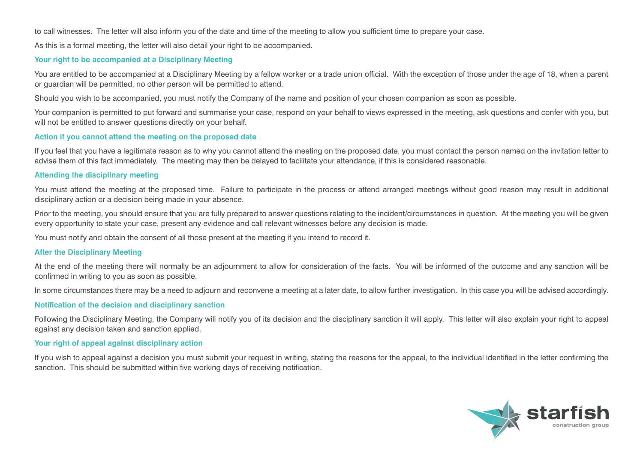to call witnesses. The letter will also inform you of the date and time of the meeting to allow you sufficient time to prepare your case.

As this is a formal meeting, the letter will also detail your right to be accompanied.

#### **Your right to be accompanied at a Disciplinary Meeting**

You are entitled to be accompanied at a Disciplinary Meeting by a fellow worker or a trade union official. With the exception of those under the age of 18, when a parent or guardian will be permitted, no other person will be permitted to attend.

Should you wish to be accompanied, you must notify the Company of the name and position of your chosen companion as soon as possible.

Your companion is permitted to put forward and summarise your case, respond on your behalf to views expressed in the meeting, ask questions and confer with you, but will not be entitled to answer questions directly on your behalf.

#### **Action if you cannot attend the meeting on the proposed date**

If you feel that you have a legitimate reason as to why you cannot attend the meeting on the proposed date, you must contact the person named on the invitation letter to advise them of this fact immediately. The meeting may then be delayed to facilitate your attendance, if this is considered reasonable.

#### **Attending the disciplinary meeting**

You must attend the meeting at the proposed time. Failure to participate in the process or attend arranged meetings without good reason may result in additional disciplinary action or a decision being made in your absence.

Prior to the meeting, you should ensure that you are fully prepared to answer questions relating to the incident/circumstances in question. At the meeting you will be given every opportunity to state your case, present any evidence and call relevant witnesses before any decision is made.

You must notify and obtain the consent of all those present at the meeting if you intend to record it.

#### **After the Disciplinary Meeting**

At the end of the meeting there will normally be an adjournment to allow for consideration of the facts. You will be informed of the outcome and any sanction will be confirmed in writing to you as soon as possible.

In some circumstances there may be a need to adjourn and reconvene a meeting at a later date, to allow further investigation. In this case you will be advised accordingly.

#### **Notification of the decision and disciplinary sanction**

Following the Disciplinary Meeting, the Company will notify you of its decision and the disciplinary sanction it will apply. This letter will also explain your right to appeal against any decision taken and sanction applied.

#### **Your right of appeal against disciplinary action**

If you wish to appeal against a decision you must submit your request in writing, stating the reasons for the appeal, to the individual identified in the letter confirming the sanction. This should be submitted within five working days of receiving notification.